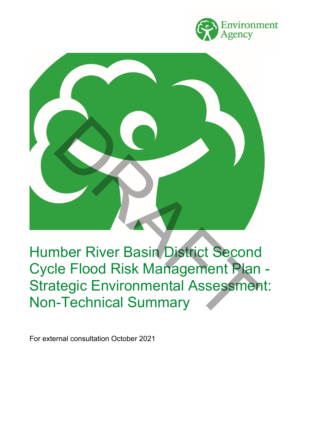



Humber River Basin District Second Cycle Flood Risk Management Plan - Strategic Environmental Assessment: Non-Technical Summary

For external consultation October 2021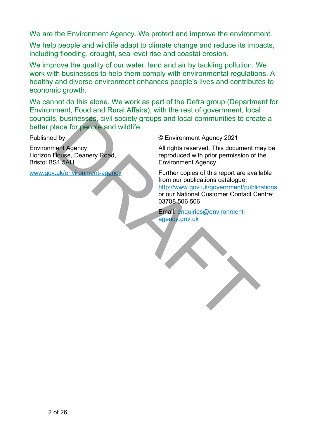We are the Environment Agency. We protect and improve the environment.

We help people and wildlife adapt to climate change and reduce its impacts, including flooding, drought, sea level rise and coastal erosion.

We improve the quality of our water, land and air by tackling pollution. We work with businesses to help them comply with environmental regulations. A healthy and diverse environment enhances people's lives and contributes to economic growth.

We cannot do this alone. We work as part of the Defra group (Department for Environment, Food and Rural Affairs), with the rest of government, local councils, businesses, civil society groups and local communities to create a better place for people and wildlife.

Published by:

Environment Agency Horizon House, Deanery Road, Bristol BS1 5AH

www.gov.uk/environment-agency

© Environment Agency 2021

All rights reserved. This document may be reproduced with prior permission of the Environment Agency.

Further copies of this report are available from our publications catalogue: http://www.gov.uk/government/publications or our National Customer Contact Centre: 03708 506 506 Susinesses, civil society groups and local communities to create<br>
alace for people and wildlife.<br>
(Chinament [A](mailto:enquiries@environment-agency.gov.uk)gency 2021<br>
Thus, Chinament Agency House, Deanery Road,<br>
Thus, all rights reserved. This document materials<br>
Thu

Email: enquiries@environmentagency.gov.uk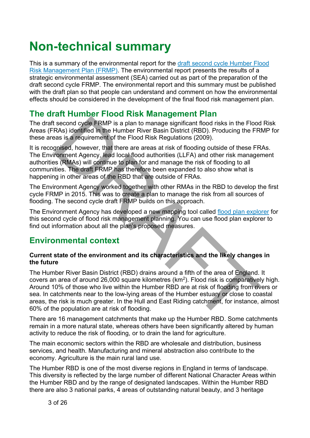# **Non-technical summary**

This is a summary of the environmental report for the [draft second cycle Humber Flood](https://consult.environment-agency.gov.uk/fcrm/draft-second-cycle-flood-risk-management-plans/)  [Risk Management Plan \(FRMP\).](https://consult.environment-agency.gov.uk/fcrm/draft-second-cycle-flood-risk-management-plans/) The environmental report presents the results of a strategic environmental assessment (SEA) carried out as part of the preparation of the draft second cycle FRMP. The environmental report and this summary must be published with the draft plan so that people can understand and comment on how the environmental effects should be considered in the development of the final flood risk management plan.

## **The draft Humber Flood Risk Management Plan**

The draft second cycle FRMP is a plan to manage significant flood risks in the Flood Risk Areas (FRAs) identified in the Humber River Basin District (RBD). Producing the FRMP for these areas is a requirement of the Flood Risk Regulations (2009).

It is recognised, however, that there are areas at risk of flooding outside of these FRAs. The Environment Agency, lead local flood authorities (LLFA) and other risk management authorities (RMAs) will continue to plan for and manage the risk of flooding to all communities. The draft FRMP has therefore been expanded to also show what is happening in other areas of the RBD that are outside of FRAs.

The Environment Agency worked together with other RMAs in the RBD to develop the first cycle FRMP in 2015. This was to create a plan to manage the risk from all sources of flooding. The second cycle draft FRMP builds on this approach.

The Environment Agency has developed a new mapping tool called [flood plan explorer](https://environment.data.gov.uk/flood-planning/explorer/cycle-2) for this second cycle of flood risk management planning. You can use flood plan explorer to find out information about all the plan's proposed measures.

## **Environmental context**

#### **Current state of the environment and its characteristics and the likely changes in the future**

The Humber River Basin District (RBD) drains around a fifth of the area of England. It covers an area of around 26,000 square kilometres (km<sup>2</sup>). Flood risk is comparatively high. Around 10% of those who live within the Humber RBD are at risk of flooding from rivers or sea. In catchments near to the low-lying areas of the Humber estuary or close to coastal areas, the risk is much greater. In the Hull and East Riding catchment, for instance, almost 60% of the population are at risk of flooding. examples of the FIMP is a plant to manage significant flood risks in the Flood<br>second cycle FRMP is a plant to manage significant flood risks in the Flood<br>RAs) identified in the Humber River Basin District (RBD). Producing

There are 16 management catchments that make up the Humber RBD. Some catchments remain in a more natural state, whereas others have been significantly altered by human activity to reduce the risk of flooding, or to drain the land for agriculture.

The main economic sectors within the RBD are wholesale and distribution, business services, and health. Manufacturing and mineral abstraction also contribute to the economy. Agriculture is the main rural land use.

The Humber RBD is one of the most diverse regions in England in terms of landscape. This diversity is reflected by the large number of different National Character Areas within the Humber RBD and by the range of designated landscapes. Within the Humber RBD there are also 3 national parks, 4 areas of outstanding natural beauty, and 3 heritage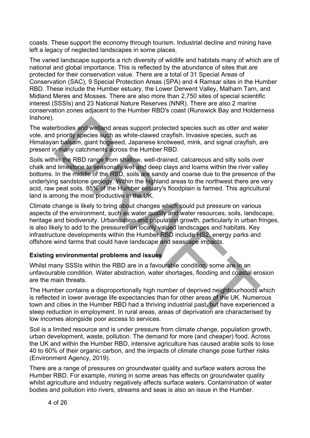coasts. These support the economy through tourism. Industrial decline and mining have left a legacy of neglected landscapes in some places.

The varied landscape supports a rich diversity of wildlife and habitats many of which are of national and global importance. This is reflected by the abundance of sites that are protected for their conservation value. There are a total of 31 Special Areas of Conservation (SAC), 9 Special Protection Areas (SPA) and 4 Ramsar sites in the Humber RBD. These include the Humber estuary, the Lower Derwent Valley, Malham Tarn, and Midland Meres and Mosses. There are also more than 2,750 sites of special scientific interest (SSSIs) and 23 National Nature Reserves (NNR). There are also 2 marine conservation zones adjacent to the Humber RBD's coast (Runswick Bay and Holderness Inshore).

The waterbodies and wetland areas support protected species such as otter and water vole, and priority species such as white-clawed crayfish. Invasive species, such as Himalayan balsam, giant hogweed, Japanese knotweed, mink, and signal crayfish, are present in many catchments across the Humber RBD.

Soils within the RBD range from shallow, well-drained, calcareous and silty soils over chalk and limestone to seasonally wet and deep clays and loams within the river valley bottoms. In the middle of the RBD, soils are sandy and coarse due to the presence of the underlying sandstone geology. Within the highland areas to the northwest there are very acid, raw peat soils. 85% of the Humber estuary's floodplain is farmed. This agricultural land is among the most productive in the UK. erbodies and wetland areas support protected species such as otter and wa<br>priority species such as white-clawed crayfish. Invasive species, such as<br>in balsam, giant hogweed, Japanese knotweed, mink, and signal crayfish, a<br>

Climate change is likely to bring about changes which could put pressure on various aspects of the environment, such as water quality and water resources, soils, landscape, heritage and biodiversity. Urbanisation and population growth, particularly in urban fringes, is also likely to add to the pressures on locally valued landscapes and habitats. Key infrastructure developments within the Humber RBD include HS2, energy parks and offshore wind farms that could have landscape and seascape impacts.

#### **Existing environmental problems and issues**

Whilst many SSSIs within the RBD are in a favourable condition, some are in an unfavourable condition. Water abstraction, water shortages, flooding and coastal erosion are the main threats.

The Humber contains a disproportionally high number of deprived neighbourhoods which is reflected in lower average life expectancies than for other areas of the UK. Numerous town and cities in the Humber RBD had a thriving industrial past, but have experienced a steep reduction in employment. In rural areas, areas of deprivation are characterised by low incomes alongside poor access to services.

Soil is a limited resource and is under pressure from climate change, population growth, urban development, waste, pollution. The demand for more (and cheaper) food. Across the UK and within the Humber RBD, intensive agriculture has caused arable soils to lose 40 to 60% of their organic carbon, and the impacts of climate change pose further risks (Environment Agency, 2019).

There are a range of pressures on groundwater quality and surface waters across the Humber RBD. For example, mining in some areas has effects on groundwater quality whilst agriculture and industry negatively affects surface waters. Contamination of water bodies and pollution into rivers, streams and seas is also an issue in the Humber.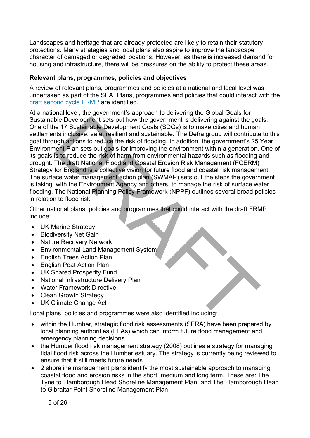Landscapes and heritage that are already protected are likely to retain their statutory protections. Many strategies and local plans also aspire to improve the landscape character of damaged or degraded locations. However, as there is increased demand for housing and infrastructure, there will be pressures on the ability to protect these areas.

#### **Relevant plans, programmes, policies and objectives**

A review of relevant plans, programmes and policies at a national and local level was undertaken as part of the SEA. Plans, programmes and policies that could interact with the [draft second cycle FRMP](https://consult.environment-agency.gov.uk/fcrm/draft-second-cycle-flood-risk-management-plans/) are identified.

At a national level, the government's approach to delivering the Global Goals for Sustainable Development sets out how the government is delivering against the goals. One of the 17 Sustainable Development Goals (SDGs) is to make cities and human settlements inclusive, safe, resilient and sustainable. The Defra group will contribute to this goal through actions to reduce the risk of flooding. In addition, the government's 25 Year Environment Plan sets out goals for improving the environment within a generation. One of its goals is to reduce the risk of harm from environmental hazards such as flooding and drought. The draft National Flood and Coastal Erosion Risk Management (FCERM) Strategy for England is a collective vision for future flood and coastal risk management. The surface water management action plan (SWMAP) sets out the steps the government is taking, with the Environment Agency and others, to manage the risk of surface water flooding. The National Planning Policy Framework (NPPF) outlines several broad policies in relation to flood risk. ble Development sets out how the government is delivering against the good to the 17 Sustainable Development Goals (SDGs) is to make cities and human to strain in child the critical strained Coal (SDGs) is to make the rela

Other national plans, policies and programmes that could interact with the draft FRMP include:

- UK Marine Strategy
- Biodiversity Net Gain
- Nature Recovery Network
- Environmental Land Management System
- English Trees Action Plan
- English Peat Action Plan
- UK Shared Prosperity Fund
- National Infrastructure Delivery Plan
- Water Framework Directive
- Clean Growth Strategy
- UK Climate Change Act

Local plans, policies and programmes were also identified including:

- within the Humber, strategic flood risk assessments (SFRA) have been prepared by local planning authorities (LPAs) which can inform future flood management and emergency planning decisions
- the Humber flood risk management strategy (2008) outlines a strategy for managing tidal flood risk across the Humber estuary. The strategy is currently being reviewed to ensure that it still meets future needs
- 2 shoreline management plans identify the most sustainable approach to managing coastal flood and erosion risks in the short, medium and long term. These are: The Tyne to Flamborough Head Shoreline Management Plan, and The Flamborough Head to Gibraltar Point Shoreline Management Plan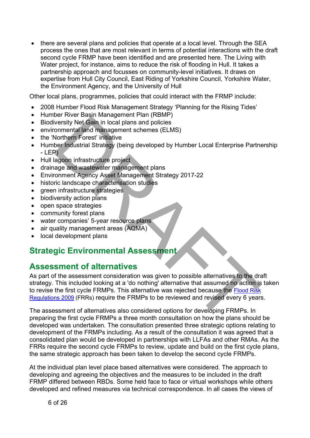• there are several plans and policies that operate at a local level. Through the SEA process the ones that are most relevant in terms of potential interactions with the draft second cycle FRMP have been identified and are presented here. The Living with Water project, for instance, aims to reduce the risk of flooding in Hull. It takes a partnership approach and focusses on community-level initiatives. It draws on expertise from Hull City Council, East Riding of Yorkshire Council, Yorkshire Water, the Environment Agency, and the University of Hull

Other local plans, programmes, policies that could interact with the FRMP include:

- 2008 Humber Flood Risk Management Strategy 'Planning for the Rising Tides'
- Humber River Basin Management Plan (RBMP)
- Biodiversity Net Gain in local plans and policies
- environmental land management schemes (ELMS)
- the 'Northern Forest' initiative
- Humber Industrial Strategy (being developed by Humber Local Enterprise Partnership - LEP)
- Hull lagoon infrastructure project
- drainage and wastewater management plans
- Environment Agency Asset Management Strategy 2017-22
- historic landscape characterisation studies
- green infrastructure strategies
- biodiversity action plans
- open space strategies
- community forest plans
- water companies' 5-year resource plans
- air quality management areas (AQMA)
- local development plans

## **Strategic Environmental Assessment**

## **Assessment of alternatives**

As part of the assessment consideration was given to possible alternatives to the draft strategy. This included looking at a 'do nothing' alternative that assumed no action is taken to revise the first cycle FRMPs. This alternative was rejected because the Flood Risk Regulations 2009 (FRRs) require the FRMPs to be reviewed and revised every 6 years. Every in the first column profession of the first consideration of the first consideration of the first consideration of the first consideration of the first consideration of the first care in the specific data and managem

The assessment of alternatives also considered options for developing FRMPs. In preparing the first cycle FRMPs a three month consultation on how the plans should be developed was undertaken. The consultation presented three strategic options relating to development of the FRMPs including. As a result of the consultation it was agreed that a consolidated plan would be developed in partnerships with LLFAs and other RMAs. As the FRRs require the second cycle FRMPs to review, update and build on the first cycle plans, the same strategic approach has been taken to develop the second cycle FRMPs.

At the individual plan level place based alternatives were considered. The approach to developing and agreeing the objectives and the measures to be included in the draft FRMP differed between RBDs. Some held face to face or virtual workshops while others developed and refined measures via technical correspondence. In all cases the views of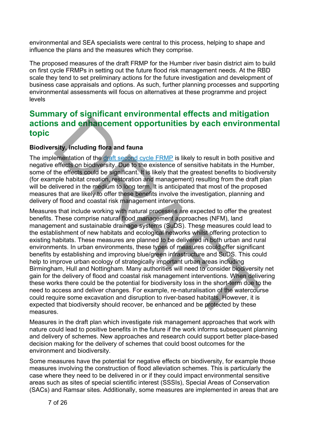environmental and SEA specialists were central to this process, helping to shape and influence the plans and the measures which they comprise.

The proposed measures of the draft FRMP for the Humber river basin district aim to build on first cycle FRMPs in setting out the future flood risk management needs. At the RBD scale they tend to set preliminary actions for the future investigation and development of business case appraisals and options. As such, further planning processes and supporting environmental assessments will focus on alternatives at these programme and project levels

## **Summary of significant environmental effects and mitigation actions and enhancement opportunities by each environmental topic**

#### **Biodiversity, including flora and fauna**

The implementation of the draft second cycle FRMP is likely to result in both positive and negative effects on biodiversity. Due to the existence of sensitive habitats in the Humber, some of the effects could be significant. It is likely that the greatest benefits to biodiversity (for example habitat creation, restoration and management) resulting from the draft plan will be delivered in the medium to long term. It is anticipated that most of the proposed measures that are likely to offer these benefits involve the investigation, planning and delivery of flood and coastal risk management interventions.

Measures that include working with natural processes are expected to offer the greatest benefits. These comprise natural flood management approaches (NFM), land management and sustainable drainage systems (SuDS). These measures could lead to the establishment of new habitats and ecological networks whilst offering protection to existing habitats. These measures are planned to be delivered in both urban and rural environments. In urban environments, these types of measures could offer significant benefits by establishing and improving blue/green infrastructure and SuDS. This could help to improve urban ecology of strategically important urban areas including Birmingham, Hull and Nottingham. Many authorities will need to consider biodiversity net gain for the delivery of flood and coastal risk management interventions. When delivering these works there could be the potential for biodiversity loss in the short-term due to the need to access and deliver changes. For example, re-naturalisation of the watercourse could require some excavation and disruption to river-based habitats. However, it is expected that biodiversity should recover, be enhanced and be protected by these measures. **Solution** and **Example 1 Consults** and **a Consults** and **Consults** and **Consults** and **Consults** and **Consults** and **Consults** and **Consults** and **Consults** and **Consults** and **Consults** and **Consults** and **Consults**

Measures in the draft plan which investigate risk management approaches that work with nature could lead to positive benefits in the future if the work informs subsequent planning and delivery of schemes. New approaches and research could support better place-based decision making for the delivery of schemes that could boost outcomes for the environment and biodiversity.

Some measures have the potential for negative effects on biodiversity, for example those measures involving the construction of flood alleviation schemes. This is particularly the case where they need to be delivered in or if they could impact environmental sensitive areas such as sites of special scientific interest (SSSIs), Special Areas of Conservation (SACs) and Ramsar sites. Additionally, some measures are implemented in areas that are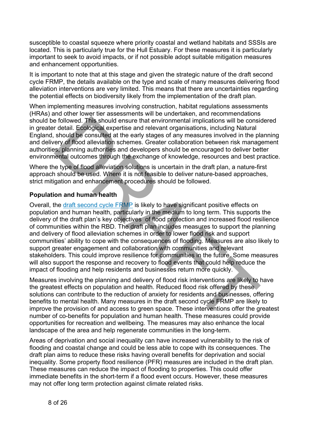susceptible to coastal squeeze where priority coastal and wetland habitats and SSSIs are located. This is particularly true for the Hull Estuary. For these measures it is particularly important to seek to avoid impacts, or if not possible adopt suitable mitigation measures and enhancement opportunities.

It is important to note that at this stage and given the strategic nature of the draft second cycle FRMP, the details available on the type and scale of many measures delivering flood alleviation interventions are very limited. This means that there are uncertainties regarding the potential effects on biodiversity likely from the implementation of the draft plan.

When implementing measures involving construction, habitat regulations assessments (HRAs) and other lower tier assessments will be undertaken, and recommendations should be followed. This should ensure that environmental implications will be considered in greater detail. Ecological expertise and relevant organisations, including Natural England, should be consulted at the early stages of any measures involved in the planning and delivery of flood alleviation schemes. Greater collaboration between risk management authorities, planning authorities and developers should be encouraged to deliver better environmental outcomes through the exchange of knowledge, resources and best practice.

Where the type of flood alleviation solutions is uncertain in the draft plan, a nature-first approach should be used. Where it is not feasible to deliver nature-based approaches, strict mitigation and enhancement procedures should be followed.

#### **Population and human health**

Overall, the draft second cycle FRMP is likely to have significant positive effects on population and human health, particularly in the medium to long term. This supports the delivery of the draft plan's key objectives of flood protection and increased flood resilience of communities within the RBD. The draft plan includes measures to support the planning and delivery of flood alleviation schemes in order to lower flood risk and support communities' ability to cope with the consequences of flooding. Measures are also likely to support greater engagement and collaboration with communities and relevant stakeholders. This could improve resilience for communities in the future. Some measures will also support the response and recovery to flood events that could help reduce the impact of flooding and help residents and businesses return more quickly. e followed. This should ensure that environmental implications will be consident detail. Ecological expertise and relevant organisations, including Natural<br>
should be consulted at the early stages of any measures involved

Measures involving the planning and delivery of flood risk interventions are likely to have the greatest effects on population and health. Reduced flood risk offered by these solutions can contribute to the reduction of anxiety for residents and businesses, offering benefits to mental health. Many measures in the draft second cycle FRMP are likely to improve the provision of and access to green space. These interventions offer the greatest number of co-benefits for population and human health. These measures could provide opportunities for recreation and wellbeing. The measures may also enhance the local landscape of the area and help regenerate communities in the long-term.

Areas of deprivation and social inequality can have increased vulnerability to the risk of flooding and coastal change and could be less able to cope with its consequences. The draft plan aims to reduce these risks having overall benefits for deprivation and social inequality. Some property flood resilience (PFR) measures are included in the draft plan. These measures can reduce the impact of flooding to properties. This could offer immediate benefits in the short-term if a flood event occurs. However, these measures may not offer long term protection against climate related risks.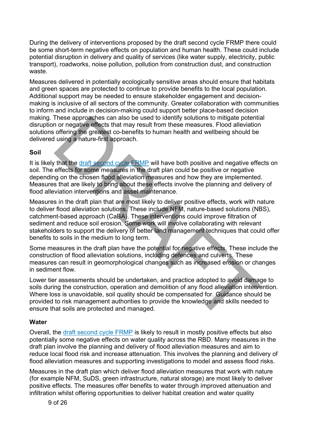During the delivery of interventions proposed by the draft second cycle FRMP there could be some short-term negative effects on population and human health. These could include potential disruption in delivery and quality of services (like water supply, electricity, public transport), roadworks, noise pollution, pollution from construction dust, and construction waste.

Measures delivered in potentially ecologically sensitive areas should ensure that habitats and green spaces are protected to continue to provide benefits to the local population. Additional support may be needed to ensure stakeholder engagement and decisionmaking is inclusive of all sectors of the community. Greater collaboration with communities to inform and include in decision-making could support better place-based decision making. These approaches can also be used to identify solutions to mitigate potential disruption or negative effects that may result from these measures. Flood alleviation solutions offering the greatest co-benefits to human health and wellbeing should be delivered using a nature-first approach.

#### **Soil**

It is likely that the draft second cycle FRMP will have both positive and negative effects on soil. The effects for some measures in the draft plan could be positive or negative depending on the chosen flood alleviation measures and how they are implemented. Measures that are likely to bring about these effects involve the planning and delivery of flood alleviation interventions and asset maintenance.

Measures in the draft plan that are most likely to deliver positive effects, work with nature to deliver flood alleviation solutions. These include NFM, nature-based solutions (NBS), catchment-based approach (CaBA). These interventions could improve filtration of sediment and reduce soil erosion. Some work will involve collaborating with relevant stakeholders to support the delivery of better land management techniques that could offer benefits to soils in the medium to long term. These approaches can also be used to identity solutions to intigate potential<br>on or negative effects that may result from these measures. Flood alleviation<br>offering the greatest co-benefits to human health and wellbeing sh

Some measures in the draft plan have the potential for negative effects. These include the construction of flood alleviation solutions, including defences and culverts. These measures can result in geomorphological changes such as increased erosion or changes in sediment flow.

Lower tier assessments should be undertaken, and practice adopted to avoid damage to soils during the construction, operation and demolition of any flood alleviation intervention. Where loss is unavoidable, soil quality should be compensated for. Guidance should be provided to risk management authorities to provide the knowledge and skills needed to ensure that soils are protected and managed.

#### **Water**

Overall, the [draft second cycle FRMP](https://consult.environment-agency.gov.uk/fcrm/draft-second-cycle-flood-risk-management-plans/) is likely to result in mostly positive effects but also potentially some negative effects on water quality across the RBD. Many measures in the draft plan involve the planning and delivery of flood alleviation measures and aim to reduce local flood risk and increase attenuation. This involves the planning and delivery of flood alleviation measures and supporting investigations to model and assess flood risks.

Measures in the draft plan which deliver flood alleviation measures that work with nature (for example NFM, SuDS, green infrastructure, natural storage) are most likely to deliver positive effects. The measures offer benefits to water through improved attenuation and infiltration whilst offering opportunities to deliver habitat creation and water quality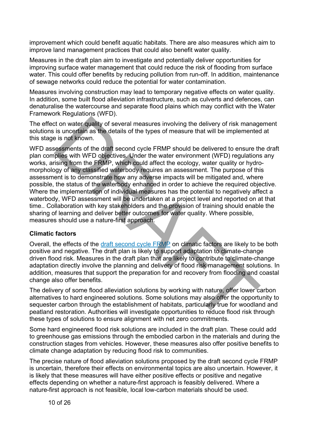improvement which could benefit aquatic habitats. There are also measures which aim to improve land management practices that could also benefit water quality.

Measures in the draft plan aim to investigate and potentially deliver opportunities for improving surface water management that could reduce the risk of flooding from surface water. This could offer benefits by reducing pollution from run-off. In addition, maintenance of sewage networks could reduce the potential for water contamination.

Measures involving construction may lead to temporary negative effects on water quality. In addition, some built flood alleviation infrastructure, such as culverts and defences, can denaturalise the watercourse and separate flood plains which may conflict with the Water Framework Regulations (WFD).

The effect on water quality of several measures involving the delivery of risk management solutions is uncertain as the details of the types of measure that will be implemented at this stage is not known.

WFD assessments of the draft second cycle FRMP should be delivered to ensure the draft plan complies with WFD objectives. Under the water environment (WFD) regulations any works, arising from the FRMP, which could affect the ecology, water quality or hydromorphology of any classified waterbody requires an assessment. The purpose of this assessment is to demonstrate how any adverse impacts will be mitigated and, where possible, the status of the waterbody enhanced in order to achieve the required objective. Where the implementation of individual measures has the potential to negatively affect a waterbody, WFD assessment will be undertaken at a project level and reported on at that time.. Collaboration with key stakeholders and the provision of training should enable the sharing of learning and deliver better outcomes for water quality. Where possible, measures should use a nature-first approach. t on water quality of several measures involving the delivery of risk manage is uncertain as the details of the types of measure that will be implemented is not known.<br>
Seissments of the draft second cycle FRMP should be d

#### **Climatic factors**

Overall, the effects of the draft second cycle FRMP on climatic factors are likely to be both positive and negative. The draft plan is likely to support adaptation to climate-change driven flood risk. Measures in the draft plan that are likely to contribute to climate-change adaptation directly involve the planning and delivery of flood risk management solutions. In addition, measures that support the preparation for and recovery from flooding and coastal change also offer benefits.

The delivery of some flood alleviation solutions by working with nature, offer lower carbon alternatives to hard engineered solutions. Some solutions may also offer the opportunity to sequester carbon through the establishment of habitats, particularly true for woodland and peatland restoration. Authorities will investigate opportunities to reduce flood risk through these types of solutions to ensure alignment with net zero commitments.

Some hard engineered flood risk solutions are included in the draft plan. These could add to greenhouse gas emissions through the embodied carbon in the materials and during the construction stages from vehicles. However, these measures also offer positive benefits to climate change adaptation by reducing flood risk to communities.

The precise nature of flood alleviation solutions proposed by the draft second cycle FRMP is uncertain, therefore their effects on environmental topics are also uncertain. However, it is likely that these measures will have either positive effects or positive and negative effects depending on whether a nature-first approach is feasibly delivered. Where a nature-first approach is not feasible, local low-carbon materials should be used.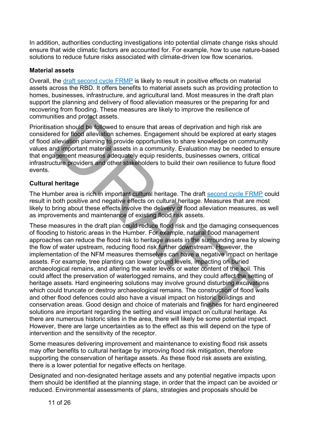In addition, authorities conducting investigations into potential climate change risks should ensure that wide climatic factors are accounted for. For example, how to use nature-based solutions to reduce future risks associated with climate-driven low flow scenarios.

#### **Material assets**

Overall, the [draft second cycle FRMP](https://consult.environment-agency.gov.uk/fcrm/draft-second-cycle-flood-risk-management-plans/) is likely to result in positive effects on material assets across the RBD. It offers benefits to material assets such as providing protection to homes, businesses, infrastructure, and agricultural land. Most measures in the draft plan support the planning and delivery of flood alleviation measures or the preparing for and recovering from flooding. These measures are likely to improve the resilience of communities and protect assets.

Prioritisation should be followed to ensure that areas of deprivation and high risk are considered for flood alleviation schemes. Engagement should be explored at early stages of flood alleviation planning to provide opportunities to share knowledge on community values and important material assets in a community. Evaluation may be needed to ensure that engagement measures adequately equip residents, businesses owners, critical infrastructure providers and other stakeholders to build their own resilience to future flood events.

#### **Cultural heritage**

The Humber area is rich in important cultural heritage. The draft second cycle FRMP could result in both positive and negative effects on cultural heritage. Measures that are most likely to bring about these effects involve the delivery of flood alleviation measures, as well as improvements and maintenance of existing flood risk assets.

These measures in the draft plan could reduce flood risk and the damaging consequences of flooding to historic areas in the Humber. For example, natural flood management approaches can reduce the flood risk to heritage assets in the surrounding area by slowing the flow of water upstream, reducing flood risk further downstream. However, the implementation of the NFM measures themselves can have a negative impact on heritage assets. For example, tree planting can lower ground levels, impacting on buried archaeological remains, and altering the water levels or water content of the soil. This could affect the preservation of waterlogged remains, and they could affect the setting of heritage assets. Hard engineering solutions may involve ground disturbing excavations which could truncate or destroy archaeological remains. The construction of flood walls and other flood defences could also have a visual impact on historic buildings and conservation areas. Good design and choice of materials and finishes for hard engineered solutions are important regarding the setting and visual impact on cultural heritage. As there are numerous historic sites in the area, there will likely be some potential impact. However, there are large uncertainties as to the effect as this will depend on the type of intervention and the sensitivity of the receptor. ties and protect assets.<br>
ties and protect assets.<br>
ties and for flood alleviation schemes. Engagement should be explored at early stated for flood alleviation schemes. Engagement should be explored at early state<br>
allevia

Some measures delivering improvement and maintenance to existing flood risk assets may offer benefits to cultural heritage by improving flood risk mitigation, therefore supporting the conservation of heritage assets. As these flood risk assets are existing, there is a lower potential for negative effects on heritage.

Designated and non-designated heritage assets and any potential negative impacts upon them should be identified at the planning stage, in order that the impact can be avoided or reduced. Environmental assessments of plans, strategies and proposals should be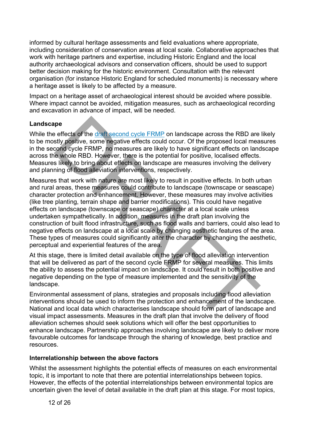informed by cultural heritage assessments and field evaluations where appropriate, including consideration of conservation areas at local scale. Collaborative approaches that work with heritage partners and expertise, including Historic England and the local authority archaeological advisors and conservation officers, should be used to support better decision making for the historic environment. Consultation with the relevant organisation (for instance Historic England for scheduled monuments) is necessary where a heritage asset is likely to be affected by a measure.

Impact on a heritage asset of archaeological interest should be avoided where possible. Where impact cannot be avoided, mitigation measures, such as archaeological recording and excavation in advance of impact, will be needed.

#### **Landscape**

While the effects of the draft second cycle FRMP on landscape across the RBD are likely to be mostly positive, some negative effects could occur. Of the proposed local measures in the second cycle FRMP, no measures are likely to have significant effects on landscape across the whole RBD. However, there is the potential for positive, localised effects. Measures likely to bring about effects on landscape are measures involving the delivery and planning of flood alleviation interventions, respectively.

Measures that work with nature are most likely to result in positive effects. In both urban and rural areas, these measures could contribute to landscape (townscape or seascape) character protection and enhancement. However, these measures may involve activities (like tree planting, terrain shape and barrier modifications). This could have negative effects on landscape (townscape or seascape) character at a local scale unless undertaken sympathetically. In addition, measures in the draft plan involving the construction of built flood infrastructure, such as flood walls and barriers, could also lead to negative effects on landscape at a local scale by changing aesthetic features of the area. These types of measures could significantly alter the character by changing the aesthetic, perceptual and experiential features of the area. pe<br>
effects of the draft second cycle FRMP on landscape across the RB[D](https://consult.environment-agency.gov.uk/fcrm/draft-second-cycle-flood-risk-management-plans/) are<br>
sty positive, some negative effects could occur. Of the proposed local measures<br>
cond cycle FRMP, no measures are likely to have significant effec

At this stage, there is limited detail available on the type of flood alleviation intervention that will be delivered as part of the second cycle FRMP for several measures. This limits the ability to assess the potential impact on landscape. It could result in both positive and negative depending on the type of measure implemented and the sensitivity of the landscape.

Environmental assessment of plans, strategies and proposals including flood alleviation interventions should be used to inform the protection and enhancement of the landscape. National and local data which characterises landscape should form part of landscape and visual impact assessments. Measures in the draft plan that involve the delivery of flood alleviation schemes should seek solutions which will offer the best opportunities to enhance landscape. Partnership approaches involving landscape are likely to deliver more favourable outcomes for landscape through the sharing of knowledge, best practice and resources.

#### **Interrelationship between the above factors**

Whilst the assessment highlights the potential effects of measures on each environmental topic, it is important to note that there are potential interrelationships between topics. However, the effects of the potential interrelationships between environmental topics are uncertain given the level of detail available in the draft plan at this stage. For most topics,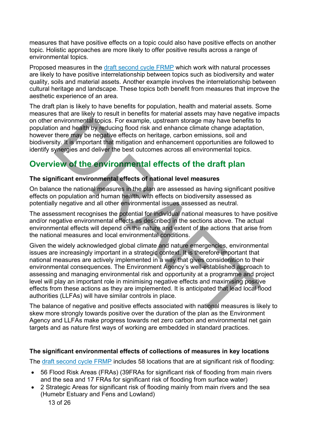measures that have positive effects on a topic could also have positive effects on another topic. Holistic approaches are more likely to offer positive results across a range of environmental topics.

Proposed measures in the [draft second cycle FRMP](https://consult.environment-agency.gov.uk/fcrm/draft-second-cycle-flood-risk-management-plans/) which work with natural processes are likely to have positive interrelationship between topics such as biodiversity and water quality, soils and material assets. Another example involves the interrelationship between cultural heritage and landscape. These topics both benefit from measures that improve the aesthetic experience of an area.

The draft plan is likely to have benefits for population, health and material assets. Some measures that are likely to result in benefits for material assets may have negative impacts on other environmental topics. For example, upstream storage may have benefits to population and health by reducing flood risk and enhance climate change adaptation, however there may be negative effects on heritage, carbon emissions, soil and biodiversity. It is important that mitigation and enhancement opportunities are followed to identify synergies and deliver the best outcomes across all environmental topics.

## **Overview of the environmental effects of the draft plan**

#### **The significant environmental effects of national level measures**

On balance the national measures in the plan are assessed as having significant positive effects on population and human health, with effects on biodiversity assessed as potentially negative and all other environmental issues assessed as neutral.

The assessment recognises the potential for individual national measures to have positive and/or negative environmental effects as described in the sections above. The actual environmental effects will depend on the nature and extent of the actions that arise from the national measures and local environmental conditions.

Given the widely acknowledged global climate and nature emergencies, environmental issues are increasingly important in a strategic context. It is therefore important that national measures are actively implemented in a way that gives consideration to their environmental consequences. The Environment Agency's well-established approach to assessing and managing environmental risk and opportunity at a programme and project level will play an important role in minimising negative effects and maximising positive effects from these actions as they are implemented. It is anticipated that lead local flood authorities (LLFAs) will have similar controls in place. environmental topics. For example, upstream storage may have benefits to<br>no an a health by reducing flood risk and enhance climate change adaptation<br>there may be negative effects on heritage, carbon emissions, soil and<br>ity

The balance of negative and positive effects associated with national measures is likely to skew more strongly towards positive over the duration of the plan as the Environment Agency and LLFAs make progress towards net zero carbon and environmental net gain targets and as nature first ways of working are embedded in standard practices.

#### **The significant environmental effects of collections of measures in key locations**

The [draft second cycle FRMP](https://consult.environment-agency.gov.uk/fcrm/draft-second-cycle-flood-risk-management-plans/) includes 58 locations that are at significant risk of flooding:

- 56 Flood Risk Areas (FRAs) (39FRAs for significant risk of flooding from main rivers and the sea and 17 FRAs for significant risk of flooding from surface water)
- 13 of 26 • 2 Strategic Areas for significant risk of flooding mainly from main rivers and the sea (Humebr Estuary and Fens and Lowland)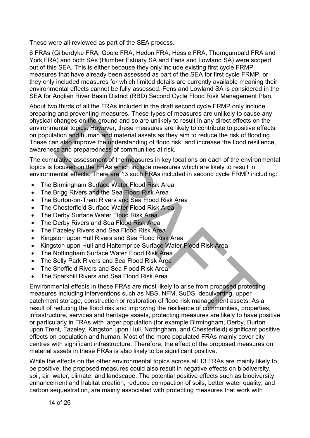These were all reviewed as part of the SEA process.

6 FRAs (Gilberdyke FRA, Goole FRA, Hedon FRA, Hessle FRA, Thorngumbald FRA and York FRA) and both SAs (Humber Estuary SA and Fens and Lowland SA) were scoped out of this SEA. This is either because they only include existing first cycle FRMP measures that have already been assessed as part of the SEA for first cycle FRMP, or they only included measures for which limited details are currently available meaning their environmental effects cannot be fully assessed. Fens and Lowland SA is considered in the SEA for Anglian River Basin District (RBD) Second Cycle Flood Risk Management Plan.

About two thirds of all the FRAs included in the draft second cycle FRMP only include preparing and preventing measures. These types of measures are unlikely to cause any physical changes on the ground and so are unlikely to result in any direct effects on the environmental topics. However, these measures are likely to contribute to positive effects on population and human and material assets as they aim to reduce the risk of flooding. These can also improve the understanding of flood risk, and increase the flood resilience, awareness and preparedness of communities at risk.

The cumulative assessment of the measures in key locations on each of the environmental topics is focused on the FRAs which include measures which are likely to result in environmental effects. There are 13 such FRAs included in second cycle FRMP including:

- The Birmingham Surface Water Flood Risk Area
- The Brigg Rivers and the Sea Flood Risk Area
- The Burton-on-Trent Rivers and Sea Flood Risk Area
- The Chesterfield Surface Water Flood Risk Area
- The Derby Surface Water Flood Risk Area
- The Derby Rivers and Sea Flood Risk Area
- The Fazeley Rivers and Sea Flood Risk Area
- Kingston upon Hull Rivers and Sea Flood Risk Area
- Kingston upon Hull and Haltemprice Surface Water Flood Risk Area
- The Nottingham Surface Water Flood Risk Area
- The Selly Park Rivers and Sea Flood Risk Area
- The Sheffield Rivers and Sea Flood Risk Area
- The Sparkhill Rivers and Sea Flood Risk Area

Environmental effects in these FRAs are most likely to arise from proposed protecting measures including interventions such as NBS, NFM, SuDS, deculverting, upper catchment storage, construction or restoration of flood risk management assets. As a result of reducing the flood risk and improving the resilience of communities, properties, infrastructure, services and heritage assets, protecting measures are likely to have positive or particularly in FRAs with larger population (for example Birmingham, Derby, Burton upon Trent, Fazeley, Kingston upon Hull, Nottingham, and Chesterfield) significant positive effects on population and human. Most of the more populated FRAs mainly cover city centres with significant infrastructure. Therefore, the effect of the proposed measures on material assets in these FRAs is also likely to be significant positive. changes on the ground and so are unlikely to result in any direct effects on entail topos. Hewever, these measures are likely to contribute to positive e-<br>ataion and funnan and material assets as they aim to reduce the ris

While the effects on the other environmental topics across all 13 FRAs are mainly likely to be positive, the proposed measures could also result in negative effects on biodiversity, soil, air, water, climate, and landscape. The potential positive effects such as biodiversity enhancement and habitat creation, reduced compaction of soils, better water quality, and carbon sequestration, are mainly associated with protecting measures that work with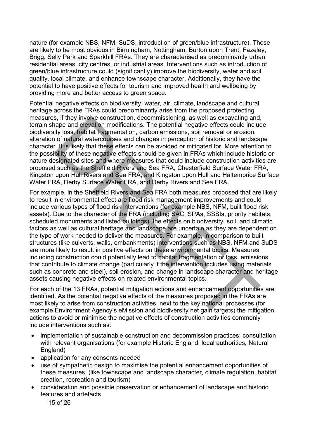nature (for example NBS, NFM, SuDS, introduction of green/blue infrastructure). These are likely to be most obvious in Birmingham, Nottingham, Burton upon Trent, Fazeley, Brigg, Selly Park and Sparkhill FRAs. They are characterised as predominantly urban residential areas, city centres, or industrial areas. Interventions such as introduction of green/blue infrastructure could (significantly) improve the biodiversity, water and soil quality, local climate, and enhance townscape character. Additionally, they have the potential to have positive effects for tourism and improved health and wellbeing by providing more and better access to green space.

Potential negative effects on biodiversity, water, air, climate, landscape and cultural heritage across the FRAs could predominantly arise from the proposed protecting measures, if they involve construction, decommissioning, as well as excavating and, terrain shape and elevation modifications. The potential negative effects could include biodiversity loss, habitat fragmentation, carbon emissions, soil removal or erosion, alteration of natural watercourses and changes in perception of historic and landscape character. It is likely that these effects can be avoided or mitigated for. More attention to the possibility of these negative effects should be given in FRAs which include historic or nature designated sites and where measures that could include construction activities are proposed such as the Sheffield Rivers and Sea FRA, Chesterfield Surface Water FRA, Kingston upon Hull Rivers and Sea FRA, and Kingston upon Hull and Haltemprice Surface Water FRA, Derby Surface Water FRA, and Derby Rivers and Sea FRA.

For example, in the Sheffield Rivers and Sea FRA both measures proposed that are likely to result in environmental effect are flood risk management improvements and could include various types of flood risk interventions (for example NBS, NFM, built flood risk assets). Due to the character of the FRA (including SAC, SPAs, SSSIs, priority habitats, scheduled monuments and listed buildings), the effects on biodiversity, soil, and climatic factors as well as cultural heritage and landscape are uncertain as they are dependent on the type of work needed to deliver the measures. For example, in comparison to built structures (like culverts, walls, embankments) interventions such as NBS, NFM and SuDS are more likely to result in positive effects on these environmental topics. Measures including construction could potentially lead to habitat fragmentation or loss, emissions that contribute to climate change (particularly if the intervention includes using materials such as concrete and steel), soil erosion, and change in landscape character and heritage assets causing negative effects on related environmental topics. s, if they involve construction, decoministioning, as well as excavating and,<br>and a ge and elevation modifications. The potential negative effects could inclu<br>ity loss, habitat fragmentation, carbon emissions, soil removal

For each of the 13 FRAs, potential mitigation actions and enhancement opportunities are identified. As the potential negative effects of the measures proposed in the FRAs are most likely to arise from construction activities, next to the key national processes (for example Environment Agency's eMission and biodiversity net gain targets) the mitigation actions to avoid or minimise the negative effects of construction activities commonly include interventions such as:

- implementation of sustainable construction and decommission practices; consultation with relevant organisations (for example Historic England, local authorities, Natural England)
- application for any consents needed
- use of sympathetic design to maximise the potential enhancement opportunities of these measures, (like townscape and landscape character, climate regulation, habitat creation, recreation and tourism)
- consideration and possible preservation or enhancement of landscape and historic features and artefacts

15 of 26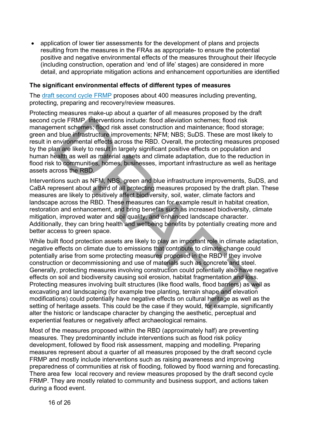• application of lower tier assessments for the development of plans and projects resulting from the measures in the FRAs as appropriate- to ensure the potential positive and negative environmental effects of the measures throughout their lifecycle (including construction, operation and 'end of life' stages) are considered in more detail, and appropriate mitigation actions and enhancement opportunities are identified

#### **The significant environmental effects of different types of measures**

The [draft second](https://consult.environment-agency.gov.uk/fcrm/draft-second-cycle-flood-risk-management-plans/) cycle FRMP proposes about 400 measures including preventing, protecting, preparing and recovery/review measures.

Protecting measures make-up about a quarter of all measures proposed by the draft second cycle FRMP. Interventions include: flood alleviation schemes; flood risk management schemes; flood risk asset construction and maintenance; flood storage; green and blue infrastructure improvements; NFM; NBS; SuDS. These are most likely to result in environmental effects across the RBD. Overall, the protecting measures proposed by the plan are likely to result in largely significant positive effects on population and human health as well as material assets and climate adaptation, due to the reduction in flood risk to communities, homes, businesses, important infrastructure as well as heritage assets across the RBD.

Interventions such as NFM, NBS, green and blue infrastructure improvements, SuDS, and CaBA represent about a third of all protecting measures proposed by the draft plan. These measures are likely to positively affect biodiversity, soil, water, climate factors and landscape across the RBD. These measures can for example result in habitat creation, restoration and enhancement, and bring benefits such as increased biodiversity, climate mitigation, improved water and soil quality, and enhanced landscape character. Additionally, they can bring health and wellbeing benefits by potentially creating more and better access to green space.

While built flood protection assets are likely to play an important role in climate adaptation, negative effects on climate due to emissions that contribute to climate change could potentially arise from some protecting measures proposed in the RBD if they involve construction or decommissioning and use of materials such as concrete and steel. Generally, protecting measures involving construction could potentially also have negative effects on soil and biodiversity causing soil erosion, habitat fragmentation and loss. Protecting measures involving built structures (like flood walls, flood barriers) as well as excavating and landscaping (for example tree planting, terrain shape and elevation modifications) could potentially have negative effects on cultural heritage as well as the setting of heritage assets. This could be the case if they would, for example, significantly alter the historic or landscape character by changing the aesthetic, perceptual and experiential features or negatively affect archaeological remains. ycle FRMP. Interventions include: flood alleviation schemes; flood risk<br>nent schemes; flood risk asset construction and maintenance; flood storage<br>of blue infrastructure improvements; NFM; NBS; SuDS. These are most like<br>en

Most of the measures proposed within the RBD (approximately half) are preventing measures. They predominantly include interventions such as flood risk policy development, followed by flood risk assessment, mapping and modelling. Preparing measures represent about a quarter of all measures proposed by the draft second cycle FRMP and mostly include interventions such as raising awareness and improving preparedness of communities at risk of flooding, followed by flood warning and forecasting. There area few local recovery and review measures proposed by the draft second cycle FRMP. They are mostly related to community and business support, and actions taken during a flood event.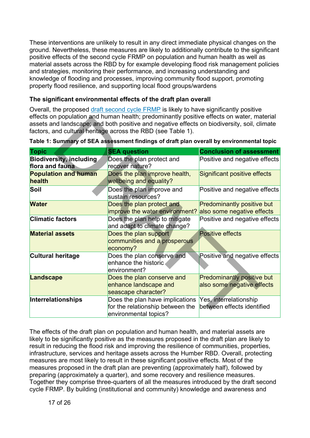These interventions are unlikely to result in any direct immediate physical changes on the ground. Nevertheless, these measures are likely to additionally contribute to the significant positive effects of the second cycle FRMP on population and human health as well as material assets across the RBD by for example developing flood risk management policies and strategies, monitoring their performance, and increasing understanding and knowledge of flooding and processes, improving community flood support, promoting property flood resilience, and supporting local flood groups/wardens

#### **The significant environmental effects of the draft plan overall**

Overall, the proposed [draft second cycle FRMP](https://consult.environment-agency.gov.uk/fcrm/draft-second-cycle-flood-risk-management-plans/) is likely to have significantly positive effects on population and human health; predominantly positive effects on water, material assets and landscape; and both positive and negative effects on biodiversity, soil, climate factors, and cultural heritage across the RBD (see Table 1).

| enects on population and numan nealth; predominantly positive effects on water, material<br>assets and landscape; and both positive and negative effects on biodiversity, soil, climate<br>factors, and cultural heritage across the RBD (see Table 1). |                                                                                              |                                                                 |
|---------------------------------------------------------------------------------------------------------------------------------------------------------------------------------------------------------------------------------------------------------|----------------------------------------------------------------------------------------------|-----------------------------------------------------------------|
| Table 1: Summary of SEA assessment findings of draft plan overall by environmental topic                                                                                                                                                                |                                                                                              |                                                                 |
| <b>Topic</b>                                                                                                                                                                                                                                            | <b>SEA question</b>                                                                          | <b>Conclusion of assessment</b>                                 |
| <b>Biodiversity, including</b><br>flora and fauna                                                                                                                                                                                                       | Does the plan protect and<br>recover nature?                                                 | Positive and negative effects                                   |
| <b>Population and human</b><br>health                                                                                                                                                                                                                   | Does the plan improve health,<br>wellbeing and equality?                                     | <b>Significant positive effects</b>                             |
| Soil                                                                                                                                                                                                                                                    | Does the plan improve and<br>sustain resources?                                              | Positive and negative effects                                   |
| <b>Water</b>                                                                                                                                                                                                                                            | Does the plan protect and<br>improve the water environment?                                  | <b>Predominantly positive but</b><br>also some negative effects |
| <b>Climatic factors</b>                                                                                                                                                                                                                                 | Does the plan help to mitigate<br>and adapt to climate change?                               | Positive and negative effects                                   |
| <b>Material assets</b>                                                                                                                                                                                                                                  | Does the plan support<br>communities and a prosperous<br>economy?                            | <b>Positive effects</b>                                         |
| <b>Cultural heritage</b>                                                                                                                                                                                                                                | Does the plan conserve and<br>enhance the historic<br>environment?                           | Positive and negative effects                                   |
| Landscape                                                                                                                                                                                                                                               | Does the plan conserve and<br>enhance landscape and<br>seascape character?                   | <b>Predominantly positive but</b><br>also some negative effects |
| Interrelationships                                                                                                                                                                                                                                      | Does the plan have implications<br>for the relationship between the<br>environmental topics? | Yes, interrelationship<br>between effects identified            |

**Table 1: Summary of SEA assessment findings of draft plan overall by environmental topic**

The effects of the draft plan on population and human health, and material assets are likely to be significantly positive as the measures proposed in the draft plan are likely to result in reducing the flood risk and improving the resilience of communities, properties, infrastructure, services and heritage assets across the Humber RBD. Overall, protecting measures are most likely to result in these significant positive effects. Most of the measures proposed in the draft plan are preventing (approximately half), followed by preparing (approximately a quarter), and some recovery and resilience measures. Together they comprise three-quarters of all the measures introduced by the draft second cycle FRMP. By building (institutional and community) knowledge and awareness and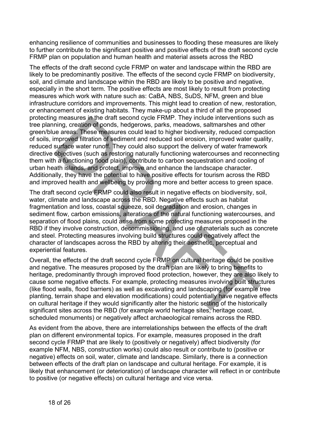enhancing resilience of communities and businesses to flooding these measures are likely to further contribute to the significant positive and positive effects of the draft second cycle FRMP plan on population and human health and material assets across the RBD

The effects of the draft second cycle FRMP on water and landscape within the RBD are likely to be predominantly positive. The effects of the second cycle FRMP on biodiversity, soil, and climate and landscape within the RBD are likely to be positive and negative, especially in the short term. The positive effects are most likely to result from protecting measures which work with nature such as: CaBA, NBS, SuDS, NFM, green and blue infrastructure corridors and improvements. This might lead to creation of new, restoration, or enhancement of existing habitats. They make-up about a third of all the proposed protecting measures in the draft second cycle FRMP. They include interventions such as tree planning, creation of ponds, hedgerows, parks, meadows, saltmarshes and other green/blue areas. These measures could lead to higher biodiversity, reduced compaction of soils, improved filtration of sediment and reduced soil erosion, improved water quality, reduced surface water runoff. They could also support the delivery of water framework directive objectives (such as restoring naturally functioning watercourses and reconnecting them with a functioning flood plain), contribute to carbon sequestration and cooling of urban heath islands, and protect, improve and enhance the landscape character. Additionally, they have the potential to have positive effects for tourism across the RBD and improved health and wellbeing by providing more and better access to green space. measures in the draft second cycle FKMP. They include interventions such and a mendent the access. These measures could lead to higher biodiversity, reduced compaproved filtration of sediment and reduced soil erosia), incr

The draft second cycle FRMP could also result in negative effects on biodiversity, soil, water, climate and landscape across the RBD. Negative effects such as habitat fragmentation and loss, coastal squeeze, soil degradation and erosion, changes in sediment flow, carbon emissions, alterations of the natural functioning watercourses, and separation of flood plains, could arise from some protecting measures proposed in the RBD if they involve construction, decommissioning, and use of materials such as concrete and steel. Protecting measures involving build structures could negatively affect the character of landscapes across the RBD by altering their aesthetic, perceptual and experiential features.

Overall, the effects of the draft second cycle FRMP on cultural heritage could be positive and negative. The measures proposed by the draft plan are likely to bring benefits to heritage, predominantly through improved flood protection, however, they are also likely to cause some negative effects. For example, protecting measures involving built structures (like flood walls, flood barriers) as well as excavating and landscaping (for example tree planting, terrain shape and elevation modifications) could potentially have negative effects on cultural heritage if they would significantly alter the historic setting of the historically significant sites across the RBD (for example world heritage sites, heritage coast, scheduled monuments) or negatively affect archaeological remains across the RBD.

As evident from the above, there are interrelationships between the effects of the draft plan on different environmental topics. For example, measures proposed in the draft second cycle FRMP that are likely to (positively or negatively) affect biodiversity (for example NFM, NBS, construction works) could also result or contribute to (positive or negative) effects on soil, water, climate and landscape. Similarly, there is a connection between effects of the draft plan on landscape and cultural heritage. For example, it is likely that enhancement (or deterioration) of landscape character will reflect in or contribute to positive (or negative effects) on cultural heritage and vice versa.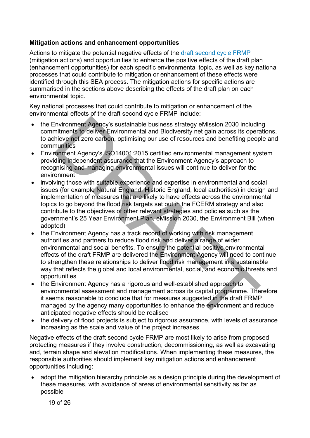#### **Mitigation actions and enhancement opportunities**

Actions to mitigate the potential negative effects of the [draft second cycle FRMP](https://consult.environment-agency.gov.uk/fcrm/draft-second-cycle-flood-risk-management-plans/) (mitigation actions) and opportunities to enhance the positive effects of the draft plan (enhancement opportunities) for each specific environmental topic, as well as key national processes that could contribute to mitigation or enhancement of these effects were identified through this SEA process. The mitigation actions for specific actions are summarised in the sections above describing the effects of the draft plan on each environmental topic.

Key national processes that could contribute to mitigation or enhancement of the environmental effects of the draft second cycle FRMP include:

- the Environment Agency's sustainable business strategy eMission 2030 including commitments to deliver Environmental and Biodiversity net gain across its operations, to achieve net zero carbon, optimising our use of resources and benefiting people and communities
- Environment Agency's ISO14001:2015 certified environmental management system providing independent assurance that the Environment Agency's approach to recognising and managing environmental issues will continue to deliver for the environment
- involving those with suitable experience and expertise in environmental and social issues (for example Natural England, Historic England, local authorities) in design and implementation of measures that are likely to have effects across the environmental topics to go beyond the flood risk targets set out in the FCERM strategy and also contribute to the objectives of other relevant strategies and policies such as the government's 25 Year Environment Plan, eMission 2030, the Environment Bill (when adopted)
- the Environment Agency has a track record of working with risk management authorities and partners to reduce flood risk and deliver a range of wider environmental and social benefits. To ensure the potential positive environmental effects of the draft FRMP are delivered the Environment Agency will need to continue to strengthen these relationships to deliver flood risk management in a sustainable way that reflects the global and local environmental, social, and economic threats and opportunities Environment Agency's sustainable business strategy eMission 2030 includin<br>internets to deliver Environmental and Biodiversity net gain across its opera<br>hive of at zero carbon, optimising our use of resources and benefiting
- the Environment Agency has a rigorous and well-established approach to environmental assessment and management across its capital programme. Therefore it seems reasonable to conclude that for measures suggested in the draft FRMP managed by the agency many opportunities to enhance the environment and reduce anticipated negative effects should be realised
- the delivery of flood projects is subject to rigorous assurance, with levels of assurance increasing as the scale and value of the project increases

Negative effects of the draft second cycle FRMP are most likely to arise from proposed protecting measures if they involve construction, decommissioning, as well as excavating and, terrain shape and elevation modifications. When implementing these measures, the responsible authorities should implement key mitigation actions and enhancement opportunities including:

• adopt the mitigation hierarchy principle as a design principle during the development of these measures, with avoidance of areas of environmental sensitivity as far as possible

19 of 26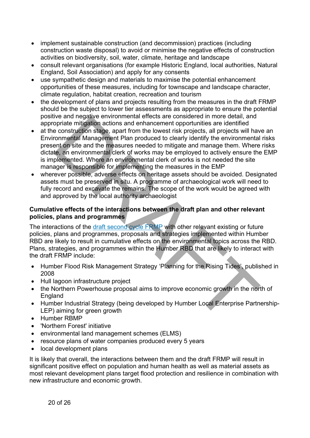- implement sustainable construction (and decommission) practices (including construction waste disposal) to avoid or minimise the negative effects of construction activities on biodiversity, soil, water, climate, heritage and landscape
- consult relevant organisations (for example Historic England, local authorities, Natural England, Soil Association) and apply for any consents
- use sympathetic design and materials to maximise the potential enhancement opportunities of these measures, including for townscape and landscape character, climate regulation, habitat creation, recreation and tourism
- the development of plans and projects resulting from the measures in the draft FRMP should be the subject to lower tier assessments as appropriate to ensure the potential positive and negative environmental effects are considered in more detail, and appropriate mitigation actions and enhancement opportunities are identified
- at the construction stage, apart from the lowest risk projects, all projects will have an Environmental Management Plan produced to clearly identify the environmental risks present on site and the measures needed to mitigate and manage them. Where risks dictate, an environmental clerk of works may be employed to actively ensure the EMP is implemented. Where an environmental clerk of works is not needed the site manager is responsible for implementing the measures in the EMP We all regains e inviting the metascale considered in interesting to the net the metascure of the metascure operator in the construction stage, apart from the lowest risk projects, all projects will have one construction s
- wherever possible, adverse effects on heritage assets should be avoided. Designated assets must be preserved in situ. A programme of archaeological work will need to fully record and excavate the remains. The scope of the work would be agreed with and approved by the local authority archaeologist

#### **Cumulative effects of the interactions between the draft plan and other relevant policies, plans and programmes**

The interactions of the draft second cycle FRMP with other relevant existing or future policies, plans and programmes, proposals and strategies implemented within Humber RBD are likely to result in cumulative effects on the environmental topics across the RBD. Plans, strategies, and programmes within the Humber RBD that are likely to interact with the draft FRMP include:

- Humber Flood Risk Management Strategy 'Planning for the Rising Tides', published in 2008
- Hull lagoon infrastructure project
- the Northern Powerhouse proposal aims to improve economic growth in the north of England
- Humber Industrial Strategy (being developed by Humber Local Enterprise Partnership-LEP) aiming for green growth
- Humber RBMP
- 'Northern Forest' initiative
- environmental land management schemes (ELMS)
- resource plans of water companies produced every 5 years
- local development plans

It is likely that overall, the interactions between them and the draft FRMP will result in significant positive effect on population and human health as well as material assets as most relevant development plans target flood protection and resilience in combination with new infrastructure and economic growth.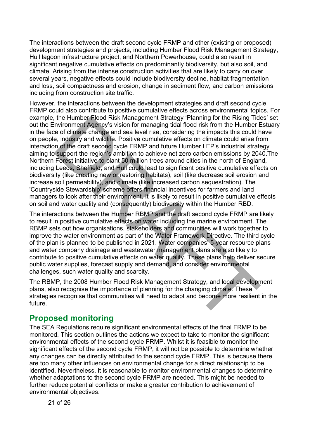The interactions between the draft second cycle FRMP and other (existing or proposed) development strategies and projects, including Humber Flood Risk Management Strategy**,** Hull lagoon infrastructure project, and Northern Powerhouse, could also result in significant negative cumulative effects on predominantly biodiversity, but also soil, and climate. Arising from the intense construction activities that are likely to carry on over several years, negative effects could include biodiversity decline, habitat fragmentation and loss, soil compactness and erosion, change in sediment flow, and carbon emissions including from construction site traffic.

However, the interactions between the development strategies and draft second cycle FRMP could also contribute to positive cumulative effects across environmental topics. For example, the Humber Flood Risk Management Strategy 'Planning for the Rising Tides' set out the Environment Agency's vision for managing tidal flood risk from the Humber Estuary in the face of climate change and sea level rise, considering the impacts this could have on people, industry and wildlife. Positive cumulative effects on climate could arise from interaction of the draft second cycle FRMP and future Humber LEP's industrial strategy aiming to support the region's ambition to achieve net zero carbon emissions by 2040.The Northern Forest initiative to plant 50 million trees around cities in the north of England, including Leeds, Sheffield, and Hull could lead to significant positive cumulative effects on biodiversity (like creating new or restoring habitats), soil (like decrease soil erosion and increase soil permeability), and climate (like increased carbon sequestration). The 'Countryside Stewardship' scheme offers financial incentives for farmers and land managers to look after their environment. It is likely to result in positive cumulative effects on soil and water quality and (consequently) biodiversity within the Humber RBD. the Humper Frood Risk Management Strategy 'Planning for the Rising Tide<br>Invironment Agency's vision for managing tidal flood risk from the Humber F<br>invironment Agency's vision for managing tidal flood risk from the Humber

The interactions between the Humber RBMP and the draft second cycle FRMP are likely to result in positive cumulative effects on water including the marine environment. The RBMP sets out how organisations, stakeholders and communities will work together to improve the water environment as part of the Water Framework Directive. The third cycle of the plan is planned to be published in 2021. Water companies' 5-year resource plans and water company drainage and wastewater management plans are also likely to contribute to positive cumulative effects on water quality. These plans help deliver secure public water supplies, forecast supply and demand, and consider environmental challenges, such water quality and scarcity.

The RBMP, the 2008 Humber Flood Risk Management Strategy, and local development plans, also recognise the importance of planning for the changing climate. These strategies recognise that communities will need to adapt and become more resilient in the future.

### **Proposed monitoring**

The SEA Regulations require significant environmental effects of the final FRMP to be monitored. This section outlines the actions we expect to take to monitor the significant environmental effects of the second cycle FRMP. Whilst it is feasible to monitor the significant effects of the second cycle FRMP, it will not be possible to determine whether any changes can be directly attributed to the second cycle FRMP. This is because there are too many other influences on environmental change for a direct relationship to be identified. Nevertheless, it is reasonable to monitor environmental changes to determine whether adaptations to the second cycle FRMP are needed. This might be needed to further reduce potential conflicts or make a greater contribution to achievement of environmental objectives.

21 of 26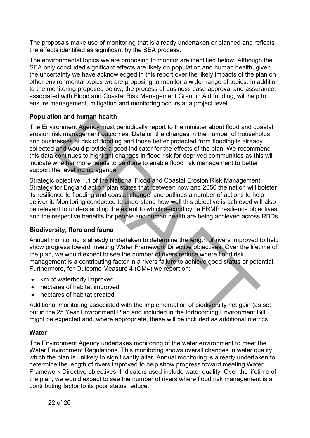The proposals make use of monitoring that is already undertaken or planned and reflects the effects identified as significant by the SEA process.

The environmental topics we are proposing to monitor are identified below. Although the SEA only concluded significant effects are likely on population and human health, given the uncertainty we have acknowledged in this report over the likely impacts of the plan on other environmental topics we are proposing to monitor a wider range of topics. In addition to the monitoring proposed below, the process of business case approval and assurance, associated with Flood and Coastal Risk Management Grant in Aid funding, will help to ensure management, mitigation and monitoring occurs at a project level.

#### **Population and human health**

The Environment Agency must periodically report to the minister about flood and coastal erosion risk management outcomes. Data on the changes in the number of households and businesses at risk of flooding and those better protected from flooding is already collected and would provide a good indicator for the effects of the plan. We recommend this data continues to highlight changes in flood risk for deprived communities as this will indicate whether more needs to be done to enable flood risk management to better support the levelling up agenda. on and numan neath standard proportion to the minister about flood and co-<br>ronment Agency must periodically report to the minister about flood and co-<br>isk management outcomes. Data on the changes in the number of househed<br>

Strategic objective 1.1 of the National Flood and Coastal Erosion Risk Management Strategy for England action plan states that 'between now and 2050 the nation will bolster its resilience to flooding and coastal change' and outlines a number of actions to help deliver it. Monitoring conducted to understand how well this objective is achieved will also be relevant to understanding the extent to which second cycle FRMP resilience objectives and the respective benefits for people and human health are being achieved across RBDs.

#### **Biodiversity, flora and fauna**

Annual monitoring is already undertaken to determine the length of rivers improved to help show progress toward meeting Water Framework Directive objectives. Over the lifetime of the plan, we would expect to see the number of rivers reduce where flood risk management is a contributing factor in a rivers failure to achieve good status or potential. Furthermore, for Outcome Measure 4 (OM4) we report on:

- km of waterbody improved
- hectares of habitat improved
- hectares of habitat created

Additional monitoring associated with the implementation of biodiversity net gain (as set out in the 25 Year Environment Plan and included in the forthcoming Environment Bill might be expected and, where appropriate, these will be included as additional metrics.

#### **Water**

The Environment Agency undertakes monitoring of the water environment to meet the Water Environment Regulations. This monitoring shows overall changes in water quality, which the plan is unlikely to significantly alter. Annual monitoring is already undertaken to determine the length of rivers improved to help show progress toward meeting Water Framework Directive objectives. Indicators used include water quality. Over the lifetime of the plan, we would expect to see the number of rivers where flood risk management is a contributing factor to its poor status reduce.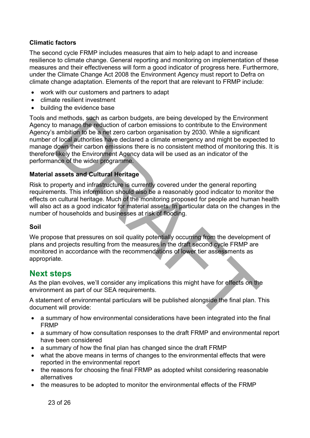#### **Climatic factors**

The second cycle FRMP includes measures that aim to help adapt to and increase resilience to climate change. General reporting and monitoring on implementation of these measures and their effectiveness will form a good indicator of progress here. Furthermore, under the Climate Change Act 2008 the Environment Agency must report to Defra on climate change adaptation. Elements of the report that are relevant to FRMP include:

- work with our customers and partners to adapt
- climate resilient investment
- building the evidence base

Tools and methods, such as carbon budgets, are being developed by the Environment Agency to manage the reduction of carbon emissions to contribute to the Environment Agency's ambition to be a net zero carbon organisation by 2030. While a significant number of local authorities have declared a climate emergency and might be expected to manage down their carbon emissions there is no consistent method of monitoring this. It is therefore likely the Environment Agency data will be used as an indicator of the performance of the wider programme. d methods, such as carbon budgets, are being developed by the Environmental on thange the reduction of carbon emissions to contribute to the Environmentambition to be a net zero carbon organisation by 2030. While a signifi

#### **Material assets and Cultural Heritage**

Risk to property and infrastructure is currently covered under the general reporting requirements. This information should also be a reasonably good indicator to monitor the effects on cultural heritage. Much of the monitoring proposed for people and human health will also act as a good indicator for material assets. In particular data on the changes in the number of households and businesses at risk of flooding.

#### **Soil**

We propose that pressures on soil quality potentially occurring from the development of plans and projects resulting from the measures in the draft second cycle FRMP are monitored in accordance with the recommendations of lower tier assessments as appropriate.

### **Next steps**

As the plan evolves, we'll consider any implications this might have for effects on the environment as part of our SEA requirements.

A statement of environmental particulars will be published alongside the final plan. This document will provide:

- a summary of how environmental considerations have been integrated into the final FRMP
- a summary of how consultation responses to the draft FRMP and environmental report have been considered
- a summary of how the final plan has changed since the draft FRMP
- what the above means in terms of changes to the environmental effects that were reported in the environmental report
- the reasons for choosing the final FRMP as adopted whilst considering reasonable alternatives
- the measures to be adopted to monitor the environmental effects of the FRMP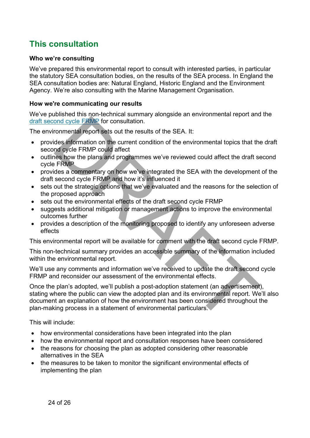# **This consultation**

#### **Who we're consulting**

We've prepared this environmental report to consult with interested parties, in particular the statutory SEA consultation bodies, on the results of the SEA process. In England the SEA consultation bodies are: Natural England, Historic England and the Environment Agency. We're also consulting with the Marine Management Organisation.

#### **How we're communicating our results**

We've published this non-technical summary alongside an environmental report and the draft second cycle FRMP for consultation.

The environmental report sets out the results of the SEA. It:

- provides information on the current condition of the environmental topics that the draft second cycle FRMP could affect
- outlines how the plans and programmes we've reviewed could affect the draft second cycle FRMP
- provides a commentary on how we've integrated the SEA with the development of the draft second cycle FRMP and how it's influenced it
- sets out the strategic options that we've evaluated and the reasons for the selection of the proposed approach
- sets out the environmental effects of the draft second cycle FRMP
- suggests additional mitigation or management actions to improve the environmental outcomes further
- provides a description of the monitoring proposed to identify any unforeseen adverse effects

This environmental report will be available for comment with the draft second cycle FRMP.

This non-technical summary provides an accessible summary of the information included within the environmental report.

We'll use any comments and information we've received to update the draft second cycle FRMP and reconsider our assessment of the environmental effects.

Once the plan's adopted, we'll publish a post-adoption statement (an advertisement), stating where the public can view the adopted plan and its environmental report. We'll also document an explanation of how the environment has been considered throughout the plan-making process in a statement of environmental particulars. ond cycle FRMP for consultation.<br>
Trommental report sets out the results of the SEA. It:<br>
des information on the current condition of the environmental topics that the<br>
des information on the current condition of the envir

This will include:

- how environmental considerations have been integrated into the plan
- how the environmental report and consultation responses have been considered
- the reasons for choosing the plan as adopted considering other reasonable alternatives in the SEA
- the measures to be taken to monitor the significant environmental effects of implementing the plan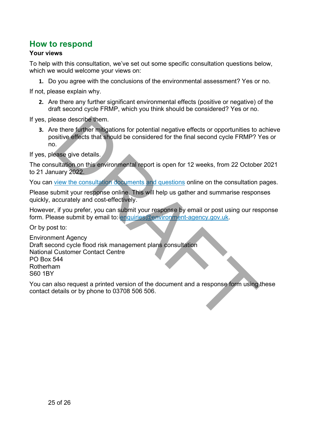## **How to respond**

#### **Your views**

To help with this consultation, we've set out some specific consultation questions below, which we would welcome your views on:

**1.** Do you agree with the conclusions of the environmental assessment? Yes or no.

If not, please explain why.

**2.** Are there any further significant environmental effects (positive or negative) of the draft second cycle FRMP, which you think should be considered? Yes or no.

If yes, please describe them.

**3.** Are there further mitigations for potential negative effects or opportunities to achieve positive effects that should be considered for the final second cycle FRMP? Yes or no.

If yes, please give details.

The consultation on this environmental report is open for 12 weeks, from 22 October 2021 to 21 January 2022.

You can view the consultation documents and questions online on the consultation pages.

Please submit your response online. This will help us gather and summarise responses quickly, accurately and cost-effectively.

However, if you prefer, you can submit your response by email or post using our response form. Please submit by email to: enquiries@environment-agency.gov.uk.

Or by post to:

Environment Agency Draft second cycle flood risk management plans consultation National Customer Contact Centre PO Box 544 Rotherham S60 1BY exame describe them.<br>
The there further mitigations for potential negative effects or opportunities to a<br> [DR](https://consult.environment-agency.gov.uk/fcrm/draft-second-cycle-flood-risk-management-plans)[A](mailto:enquiries@environment-agency.gov.uk)FT of the final second cycle FRMP? Y<br>
DRAFT on this environmental report is open for 12 weeks, from 22 Octobe<br>
DR

You can also request a printed version of the document and a response form using these contact details or by phone to 03708 506 506.